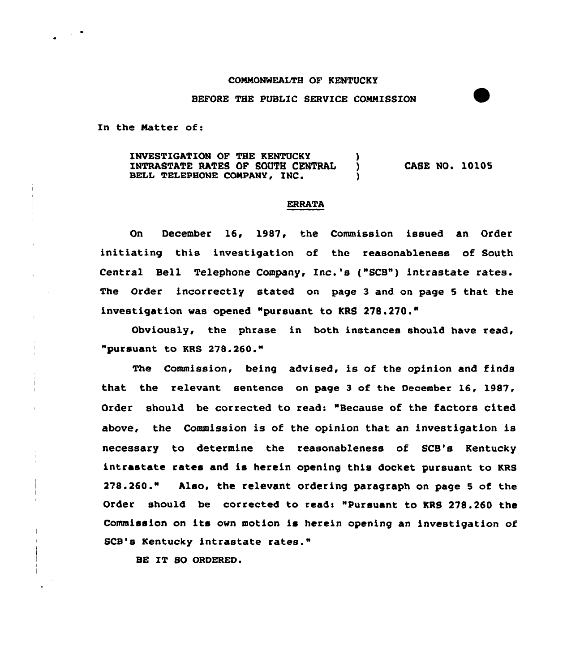## COMMONWEALTH OF KENTUCKY

## BEFORE THE PUBLIC SERVICE COMMISSION

In the Matter of:

INVESTIGATION OF THE KENTUCKY ) INTRASTATE RATES OP SOUTH CENTRAL ) BELL TELEPHONE COMPANY, INC. CASE NO. 10105

## **ERRATA**

On December 16, 1987, the Commission issued an Order initiating this investigation of the reasonableness of South Central Bell Telephone Company, Inc.'s ("SCB") intrastate rates. The Order incorrectly stated on page 3 and on page 5 that the investigation was opened "pursuant to KRS 278.270."

Obviously, the phrase in both instances should have read, "pursuant to KRS 278.260."

The Cammission, being advised, is of the opinion and finds that the relevant sentence on page 3 of the December 16, 198'7, Order should be corrected to read: "Because of the factors cited above, the Commission is of the opinion that an investigation is necessary to determine the reasonableness of SCB's Kentucky intrastate rates and is herein opening this docket pursuant to KRS 278.260." Also, the relevant ordering paragraph an page <sup>5</sup> of the Order should be corrected to read: "Pursuant to KRS 278.260 the Commission on its own motion is herein opening an investigation of SCB's Kentucky intrastate rates."

BE IT 80 ORDERED